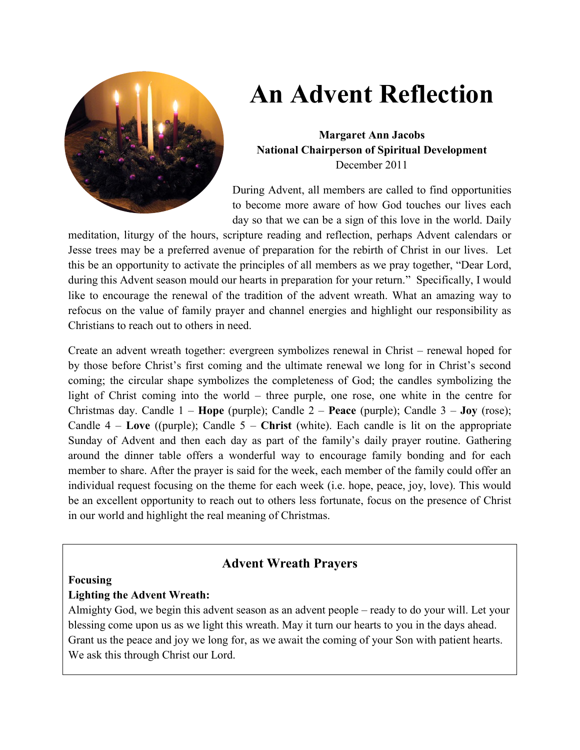

# **An Advent Reflection**

**Margaret Ann Jacobs National Chairperson of Spiritual Development** December 2011

During Advent, all members are called to find opportunities to become more aware of how God touches our lives each day so that we can be a sign of this love in the world. Daily

meditation, liturgy of the hours, scripture reading and reflection, perhaps Advent calendars or Jesse trees may be a preferred avenue of preparation for the rebirth of Christ in our lives. Let this be an opportunity to activate the principles of all members as we pray together, "Dear Lord, during this Advent season mould our hearts in preparation for your return." Specifically, I would like to encourage the renewal of the tradition of the advent wreath. What an amazing way to refocus on the value of family prayer and channel energies and highlight our responsibility as Christians to reach out to others in need.

Create an advent wreath together: evergreen symbolizes renewal in Christ – renewal hoped for by those before Christ's first coming and the ultimate renewal we long for in Christ's second coming; the circular shape symbolizes the completeness of God; the candles symbolizing the light of Christ coming into the world – three purple, one rose, one white in the centre for Christmas day. Candle 1 – **Hope** (purple); Candle 2 – **Peace** (purple); Candle 3 – **Joy** (rose); Candle 4 – **Love** ((purple); Candle 5 – **Christ** (white). Each candle is lit on the appropriate Sunday of Advent and then each day as part of the family's daily prayer routine. Gathering around the dinner table offers a wonderful way to encourage family bonding and for each member to share. After the prayer is said for the week, each member of the family could offer an individual request focusing on the theme for each week (i.e. hope, peace, joy, love). This would be an excellent opportunity to reach out to others less fortunate, focus on the presence of Christ in our world and highlight the real meaning of Christmas.

# **Advent Wreath Prayers**

#### **Focusing**

#### **Lighting the Advent Wreath:**

Almighty God, we begin this advent season as an advent people – ready to do your will. Let your blessing come upon us as we light this wreath. May it turn our hearts to you in the days ahead. Grant us the peace and joy we long for, as we await the coming of your Son with patient hearts. We ask this through Christ our Lord.